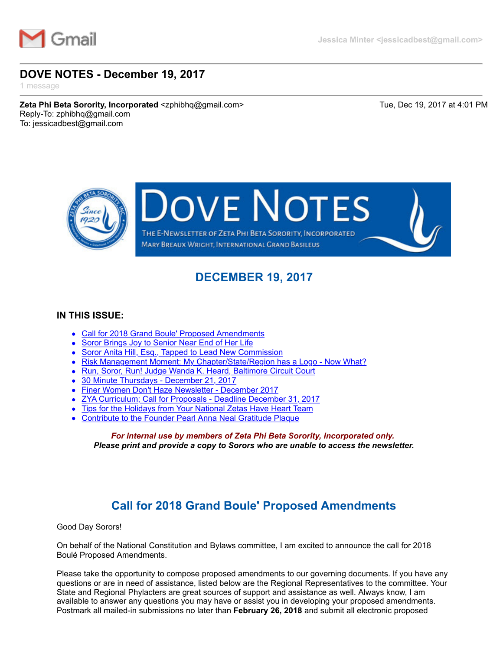

### **DOVE NOTES - December 19, 2017**

1 message

**Zeta Phi Beta Sorority, Incorporated** <zphibhq@gmail.com> Tue, Dec 19, 2017 at 4:01 PM Reply-To: zphibhq@gmail.com To: jessicadbest@gmail.com



# **DECEMBER 19, 2017**

#### <span id="page-0-1"></span>**IN THIS ISSUE:**

- [Call for 2018 Grand Boule' Proposed Amendments](#page-0-0)
- [Soror Brings Joy to Senior Near End of Her Life](#page-1-0)
- [Soror Anita Hill, Esq., Tapped to Lead New Commission](#page-1-1)
- [Risk Management Moment: My Chapter/State/Region has a Logo Now What?](#page-2-0)
- [Run, Soror, Run! Judge Wanda K. Heard, Baltimore Circuit Court](#page-2-1)
- [30 Minute Thursdays December 21, 2017](#page-3-0)  $\bullet$
- [Finer Women Don't Haze Newsletter December 2017](#page-3-1)
- [ZYA Curriculum; Call for Proposals Deadline December 31, 2017](#page-4-0)
- [Tips for the Holidays from Your National Zetas Have Heart Team](#page-5-0)
- [Contribute to the Founder Pearl Anna Neal Gratitude Plaque](#page-6-0)

*For internal use by members of Zeta Phi Beta Sorority, Incorporated only. Please print and provide a copy to Sorors who are unable to access the newsletter.*

# **Call for 2018 Grand Boule' Proposed Amendments**

<span id="page-0-0"></span>Good Day Sorors!

On behalf of the National Constitution and Bylaws committee, I am excited to announce the call for 2018 Boulé Proposed Amendments.

Please take the opportunity to compose proposed amendments to our governing documents. If you have any questions or are in need of assistance, listed below are the Regional Representatives to the committee. Your State and Regional Phylacters are great sources of support and assistance as well. Always know, I am available to answer any questions you may have or assist you in developing your proposed amendments. Postmark all mailed-in submissions no later than **February 26, 2018** and submit all electronic proposed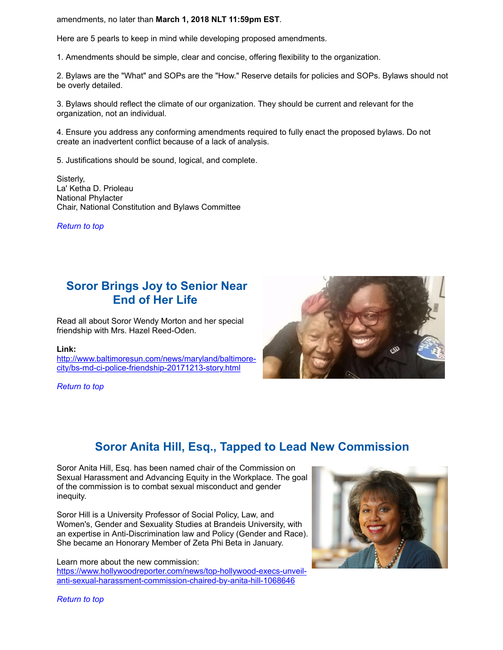amendments, no later than **March 1, 2018 NLT 11:59pm EST**.

Here are 5 pearls to keep in mind while developing proposed amendments.

1. Amendments should be simple, clear and concise, offering flexibility to the organization.

2. Bylaws are the "What" and SOPs are the "How." Reserve details for policies and SOPs. Bylaws should not be overly detailed.

3. Bylaws should reflect the climate of our organization. They should be current and relevant for the organization, not an individual.

4. Ensure you address any conforming amendments required to fully enact the proposed bylaws. Do not create an inadvertent conflict because of a lack of analysis.

5. Justifications should be sound, logical, and complete.

Sisterly, La' Ketha D. Prioleau National Phylacter Chair, National Constitution and Bylaws Committee

*[Return to top](#page-0-1)*

### <span id="page-1-0"></span>**Soror Brings Joy to Senior Near End of Her Life**

Read all about Soror Wendy Morton and her special friendship with Mrs. Hazel Reed-Oden.

#### **Link:**

[http://www.baltimoresun.com/news/maryland/baltimore](http://r20.rs6.net/tn.jsp?f=001eYXM_zCTFojJ2NVl3c35PXqqXPK-jnOYC4USBuLUeVloEf6IxJzGB4vI1XjgXoM4vCnCfs73MNLhKwzDoU5_eS3NHU9xmXRYRCJ_fNSHBezq27M64ybawyklX4bXOIo-Wojz21Jj74-Ra63dtt67XF3BXixpc1kiJQr6dQ9FPxr5UKZVef7Gd-QBIUHKqD5OdrE1iglbuGnr-JTGTyv1Y9TvqAXKExRbCsmAZTAeX5sA4akc4JMsyygQEq8j6VWqQuYvx4qmlDLWyaL2wQcZ1xldjEQvqFhI&c=AnZZ3my2SzORKNJHDiZ9uXZS2oiMh8fc55FjM29onIwigy6piHHXEg==&ch=LzTmlqcanlNX_9NjFis4h84Ipr-ON27nBxUeM72eAVd7fIsTALkURQ==)city/bs-md-ci-police-friendship-20171213-story.html

*[Return to top](#page-0-1)*



### **Soror Anita Hill, Esq., Tapped to Lead New Commission**

<span id="page-1-1"></span>Soror Anita Hill, Esq. has been named chair of the Commission on Sexual Harassment and Advancing Equity in the Workplace. The goal of the commission is to combat sexual misconduct and gender inequity.

Soror Hill is a University Professor of Social Policy, Law, and Women's, Gender and Sexuality Studies at Brandeis University, with an expertise in Anti-Discrimination law and Policy (Gender and Race). She became an Honorary Member of Zeta Phi Beta in January.

Learn more about the new commission: [https://www.hollywoodreporter.com/news/top-hollywood-execs-unveil](http://r20.rs6.net/tn.jsp?f=001eYXM_zCTFojJ2NVl3c35PXqqXPK-jnOYC4USBuLUeVloEf6IxJzGB_89vjyk7ZfSUeLzvHF7QCB3RcIo5Qn9bZYlugk6Xe7zIwsny_JY2j3WlFiw3VA10i-hx7FwHG7oBfpZNPNKnVUeKr7P3u26whS1vEynCtu0WbTOBSL3t6l7gVTzgby6ssCOzVrlNQ2Wo0uKWAotjFJTrCVy2dLjT_CTxbm5A26n7aPyM8OuSFFx9JKqsQ2BVM8_qr9QdO1UinV6FyzqePq140ePX2Jdb6wduRkRl3SgKv_WnKEdTHT4a3o1eyaE0bpdz9iiuKe9&c=AnZZ3my2SzORKNJHDiZ9uXZS2oiMh8fc55FjM29onIwigy6piHHXEg==&ch=LzTmlqcanlNX_9NjFis4h84Ipr-ON27nBxUeM72eAVd7fIsTALkURQ==)anti-sexual-harassment-commission-chaired-by-anita-hill-1068646



*[Return to top](#page-0-1)*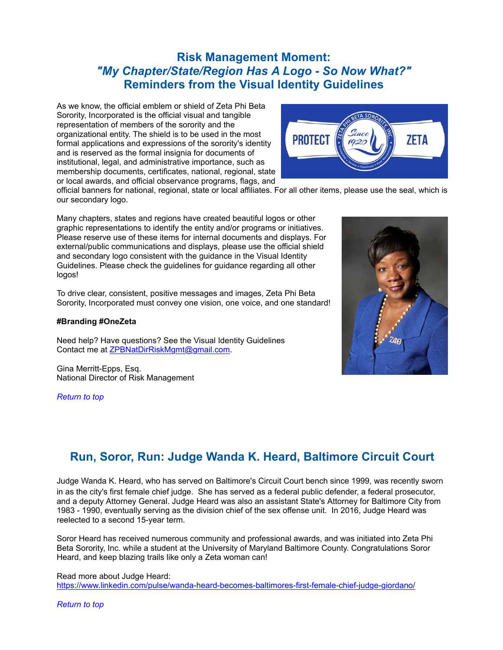### <span id="page-2-0"></span>**Risk Management Moment:** *"My Chapter/State/Region Has A Logo - So Now What?"* **Reminders from the Visual Identity Guidelines**

As we know, the official emblem or shield of Zeta Phi Beta Sorority, Incorporated is the official visual and tangible representation of members of the sorority and the organizational entity. The shield is to be used in the most formal applications and expressions of the sorority's identity and is reserved as the formal insignia for documents of institutional, legal, and administrative importance, such as membership documents, certificates, national, regional, state or local awards, and official observance programs, flags, and



official banners for national, regional, state or local affiliates. For all other items, please use the seal, which is our secondary logo.

Many chapters, states and regions have created beautiful logos or other graphic representations to identify the entity and/or programs or initiatives. Please reserve use of these items for internal documents and displays. For external/public communications and displays, please use the official shield and secondary logo consistent with the guidance in the Visual Identity Guidelines. Please check the guidelines for guidance regarding all other logos!

To drive clear, consistent, positive messages and images, Zeta Phi Beta Sorority, Incorporated must convey one vision, one voice, and one standard!

#### **#Branding #OneZeta**

Need help? Have questions? See the Visual Identity Guidelines Contact me at [ZPBNatDirRiskMgmt@gmail.com.](mailto:ZPBNatDirRiskMgmt@gmail.com)

Gina Merritt-Epps, Esq. National Director of Risk Management

*[Return to top](#page-0-1)*



## <span id="page-2-1"></span>**Run, Soror, Run: Judge Wanda K. Heard, Baltimore Circuit Court**

Judge Wanda K. Heard, who has served on Baltimore's Circuit Court bench since 1999, was recently sworn in as the city's first female chief judge. She has served as a federal public defender, a federal prosecutor, and a deputy Attorney General. Judge Heard was also an assistant State's Attorney for Baltimore City from 1983 - 1990, eventually serving as the division chief of the sex offense unit. In 2016, Judge Heard was reelected to a second 15-year term.

Soror Heard has received numerous community and professional awards, and was initiated into Zeta Phi Beta Sorority, Inc. while a student at the University of Maryland Baltimore County. Congratulations Soror Heard, and keep blazing trails like only a Zeta woman can!

Read more about Judge Heard: [https://www.linkedin.com/pulse/wanda-heard-becomes-baltimores-first-female-chief-judge-giordano/](http://r20.rs6.net/tn.jsp?f=001eYXM_zCTFojJ2NVl3c35PXqqXPK-jnOYC4USBuLUeVloEf6IxJzGB_89vjyk7ZfStNET3qHD-Xu42DZ4iRv5H7MkXuocdd0kJjdZShS375XNYFxwqh5nPNxzBvAghZfpiqxYD0Px5CCIcO6ppcBzQVBYXbEFdLnbRxJ32dgPkH8Onkn2xocEOiVpwYf8pM8l8PNHPMESaATPoFoLvgP3xdSnMnNd8fKI5W5LAeej703-WUuVxREEA3a43X67L630lLbGCsCihjxRvxd3iheu6A==&c=AnZZ3my2SzORKNJHDiZ9uXZS2oiMh8fc55FjM29onIwigy6piHHXEg==&ch=LzTmlqcanlNX_9NjFis4h84Ipr-ON27nBxUeM72eAVd7fIsTALkURQ==)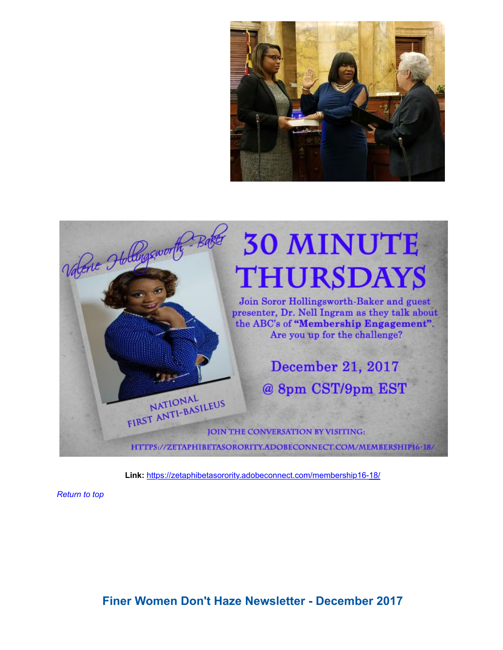

<span id="page-3-0"></span>

**Link:** [https://zetaphibetasorority.adobeconnect.com/membership16-18/](http://r20.rs6.net/tn.jsp?f=001eYXM_zCTFojJ2NVl3c35PXqqXPK-jnOYC4USBuLUeVloEf6IxJzGBwruAZDdXuSUDdfQwFOvApIqs9MMqRrw4zJe3lNV9-r-8L_jSdgO31h2CL_LlZYjPbQe-JyvEEasZTw8OqW7-Bl_OQo2-uzkjGK0SkgoO2FDoCFbQjDzc-oc6M1PMOPTD0pdsZ8TVsZOZzlCxhotJZGJUUzJLQXxjBb3eGKJGruM&c=AnZZ3my2SzORKNJHDiZ9uXZS2oiMh8fc55FjM29onIwigy6piHHXEg==&ch=LzTmlqcanlNX_9NjFis4h84Ipr-ON27nBxUeM72eAVd7fIsTALkURQ==)

<span id="page-3-1"></span>*[Return to top](#page-0-1)*

**Finer Women Don't Haze Newsletter - December 2017**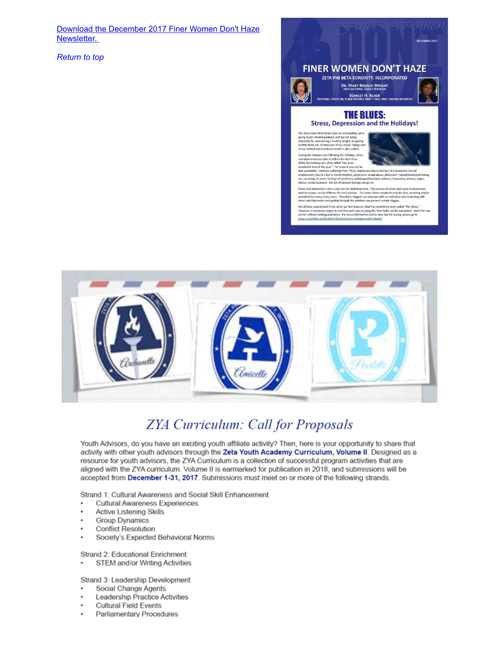[Download the December 2017 Finer Women Don't Haze](http://r20.rs6.net/tn.jsp?f=001eYXM_zCTFojJ2NVl3c35PXqqXPK-jnOYC4USBuLUeVloEf6IxJzGB_89vjyk7ZfSEMvh9FU0k6wRA_x7Snpn-nx2T24O6RJIyl0ARfXR2b1LRACs8mCFKuXXsMWAJuaayYmoTMvbf2qLeuXmCgsi7gRYUi_z1-wVAA8TqbTt0vTosUq_obiwCHECa7hSjk_Hu6mbMqdc59IRwW_c12Byh5nYZ8KksLgeRPg7SShCUdsD6xw_eBd7FONKC4CjXFSX&c=AnZZ3my2SzORKNJHDiZ9uXZS2oiMh8fc55FjM29onIwigy6piHHXEg==&ch=LzTmlqcanlNX_9NjFis4h84Ipr-ON27nBxUeM72eAVd7fIsTALkURQ==) Newsletter.

*[Return to top](#page-0-1)*



#### **THE BLUES: Stress, Depression and the Holidays!**

the Zetas Have Heart team does an outstanding job in<br>ving much needed guidance and tips for being<br>hysically fit, maintaining a healthy weight, preparing<br>ealthy food, etc. to take care of our heart. Taking car<br>f our mental



ring the holidays and following the holidays, stress<br>the the holidays and following the holidays, stress<br>the the holidays are often called "the most<br>the the holidays are often called "the most<br>wonderful, Veterans suffering

tress and depression is not a one sire fits all phenomena. The sources of stress and types of depression<br>thit hs causes, can be different for each person. Terrorine, these symptoms may be new, recurring and<br>revalent for ma

We all have experienced times when we feel down or what has sometimes been called "The 31<br>However, if symptoms began to interfere with you en/oving life, then help may be warranted.<br>too far without seeking assistance. For

<span id="page-4-0"></span>

# **ZYA Curriculum: Call for Proposals**

Youth Advisors, do you have an exciting youth affiliate activity? Then, here is your opportunity to share that activity with other youth advisors through the Zeta Youth Academy Curriculum, Volume II. Designed as a resource for youth advisors, the ZYA Curriculum is a collection of successful program activities that are aligned with the ZYA curriculum. Volume II is earmarked for publication in 2018, and submissions will be accepted from December 1-31, 2017. Submissions must meet on or more of the following strands.

Strand 1: Cultural Awareness and Social Skill Enhancement

- Cultural Awareness Experiences ٠
- . Active Listening Skills
- **Group Dynamics** ٠
- ٠ **Conflict Resolution**
- Society's Expected Behavioral Norms ٠

Strand 2: Educational Enrichment

STEM and/or Writing Activities  $\ddot{\phantom{0}}$ 

Strand 3: Leadership Development

- Social Change Agents ٠
- Leadership Practice Activities
- ٠ Cultural Field Events
- Parliamentary Procedures  $\ddot{\phantom{0}}$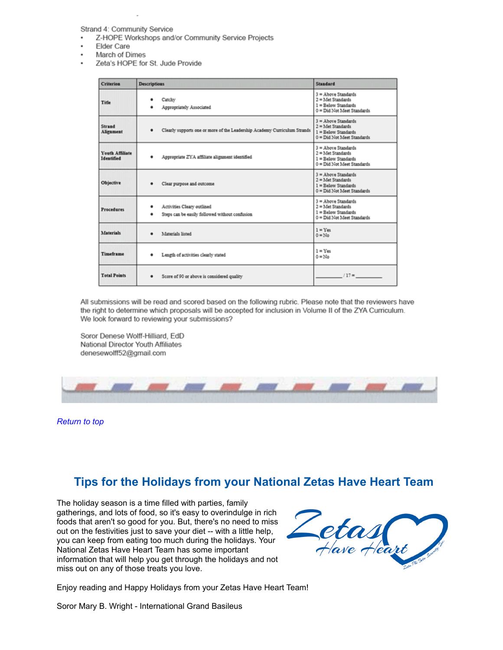Strand 4: Community Service

- Z-HOPE Workshops and/or Community Service Projects
- Elder Care
- March of Dimes
- Zeta's HOPE for St. Jude Provide

| <b>Criterion</b>              | <b>Descriptions</b>                                                               | Standard                                                                                            |
|-------------------------------|-----------------------------------------------------------------------------------|-----------------------------------------------------------------------------------------------------|
| Title                         | Catchy<br>Appropriately Associated                                                | $3 =$ Above Standards<br>$2 =$ Met Standards<br>1 = Below Standards<br>0 = Did Not Meet Standards   |
| Strand<br>Alirament           | Clearly supports one or more of the Leadership Academy Curriculum Strands<br>٠    | $3 =$ Above Standards<br>$2 =$ Met Standards<br>1 = Relow Standards<br>0 = Did Not Meet Standards   |
| Youth Affiliate<br>Identified | Appropriate ZYA affiliate alignment identified<br>٠                               | $3 =$ Above Standards<br>$2 =$ Met Standards<br>1 = Below Standards<br>0 = Did Not Meet Standards   |
| Objective                     | Clear purpose and outcome                                                         | 3 = Above Standards<br>$2 =$ Met Standards<br>$1 =$ Below Standards<br>0 = Did Not Meet Standards   |
| <b>Procedures</b>             | Activities Cleary outlined<br>٠<br>Steps can be easily followed without confusion | $3 =$ Above Standards<br>$2$ = Met Standards<br>$l =$ Below Standards<br>0 = Did Not Meet Standards |
| <b>Materials</b>              | Materials listed                                                                  | $1 =$ Yes<br>$0 = No$                                                                               |
| Timeframe                     | Length of activities clearly stated                                               | $1 = Y_{\text{ext}}$<br>$0 = No$                                                                    |
| <b>Total Points</b>           | Score of 90 or above is considered quality                                        | $117 -$                                                                                             |

All submissions will be read and scored based on the following rubric. Please note that the reviewers have the right to determine which proposals will be accepted for inclusion in Volume II of the ZYA Curriculum. We look forward to reviewing your submissions?

Soror Denese Wolff-Hilliard, EdD National Director Youth Affiliates denesewolff52@gmail.com



*[Return to top](#page-0-1)*

### <span id="page-5-0"></span>**Tips for the Holidays from your National Zetas Have Heart Team**

The holiday season is a time filled with parties, family gatherings, and lots of food, so it's easy to overindulge in rich foods that aren't so good for you. But, there's no need to miss out on the festivities just to save your diet -- with a little help, you can keep from eating too much during the holidays. Your National Zetas Have Heart Team has some important information that will help you get through the holidays and not miss out on any of those treats you love.



Enjoy reading and Happy Holidays from your Zetas Have Heart Team!

Soror Mary B. Wright - International Grand Basileus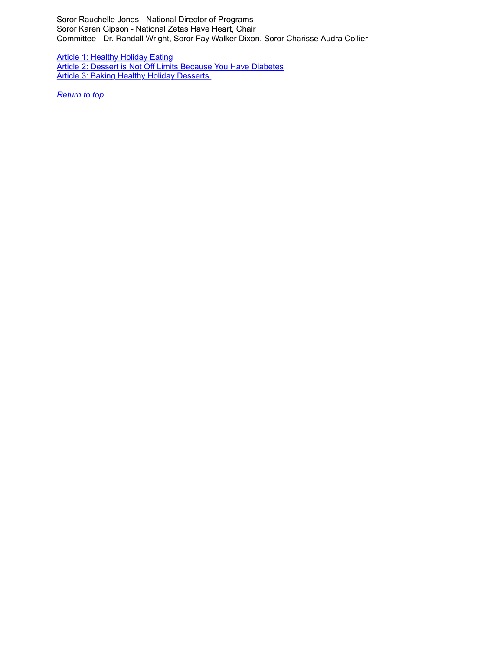Soror Rauchelle Jones - National Director of Programs Soror Karen Gipson - National Zetas Have Heart, Chair Committee - Dr. Randall Wright, Soror Fay Walker Dixon, Soror Charisse Audra Collier

[Article 1: Healthy Holiday Eating](http://r20.rs6.net/tn.jsp?f=001eYXM_zCTFojJ2NVl3c35PXqqXPK-jnOYC4USBuLUeVloEf6IxJzGB-JQjAQtRzZt7O-CmVyU7psMes_FkZXaWDOmlTZ3Le2mFDcAb52ZOWx_oiADuJes739j20kcBoUK6wFBKdyV3jJGiZk8tEkYXrPY5XrxCuJpWt3-K0lduNCRQaTHV0s8P1EqjoiQfMb-SXkihQ6fw6sSwer5KZH27M6t19_P3DhllccRGkBrFqwfs3jI16F4Qxy09bZLjNtU&c=AnZZ3my2SzORKNJHDiZ9uXZS2oiMh8fc55FjM29onIwigy6piHHXEg==&ch=LzTmlqcanlNX_9NjFis4h84Ipr-ON27nBxUeM72eAVd7fIsTALkURQ==) [Article 2: Dessert is Not Off Limits Because You Have Diabetes](http://r20.rs6.net/tn.jsp?f=001eYXM_zCTFojJ2NVl3c35PXqqXPK-jnOYC4USBuLUeVloEf6IxJzGB-JQjAQtRzZtzZQlWQkDDAz_P2GtSDHm5Ibp_e6GB0w2Qaqa1lqzCxvOEmfs0_KQYgjbXthOgElZKRkCNv_4vHT-teRpN2Zjxo7VLUPsgo4bS0SvDHjlsVrHlEs7j8u49ZmgZt2eVH1Aazqlq118ZeNbfVZzpj55NiY6wPnoWNKphoLnEjyBjKPfD9JrixZYdSZeu1_oOKKj&c=AnZZ3my2SzORKNJHDiZ9uXZS2oiMh8fc55FjM29onIwigy6piHHXEg==&ch=LzTmlqcanlNX_9NjFis4h84Ipr-ON27nBxUeM72eAVd7fIsTALkURQ==) Article 3: Baking Healthy Holiday Desserts

<span id="page-6-0"></span>*[Return to top](#page-0-1)*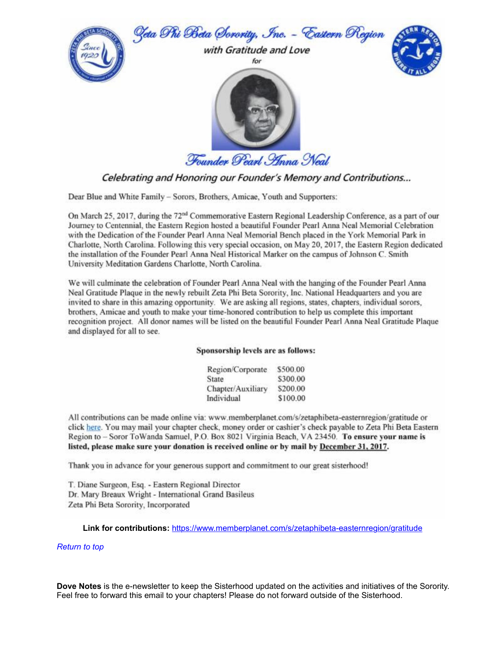

Celebrating and Honoring our Founder's Memory and Contributions...

Dear Blue and White Family - Sorors, Brothers, Amicae, Youth and Supporters:

On March 25, 2017, during the 72<sup>nd</sup> Commemorative Eastern Regional Leadership Conference, as a part of our Journey to Centennial, the Eastern Region hosted a beautiful Founder Pearl Anna Neal Memorial Celebration with the Dedication of the Founder Pearl Anna Neal Memorial Bench placed in the York Memorial Park in Charlotte, North Carolina. Following this very special occasion, on May 20, 2017, the Eastern Region dedicated the installation of the Founder Pearl Anna Neal Historical Marker on the campus of Johnson C. Smith University Meditation Gardens Charlotte, North Carolina.

We will culminate the celebration of Founder Pearl Anna Neal with the hanging of the Founder Pearl Anna Neal Gratitude Plaque in the newly rebuilt Zeta Phi Beta Sorority, Inc. National Headquarters and you are invited to share in this amazing opportunity. We are asking all regions, states, chapters, individual sorors, brothers, Amicae and youth to make your time-honored contribution to help us complete this important recognition project. All donor names will be listed on the beautiful Founder Pearl Anna Neal Gratitude Plaque and displayed for all to see.

#### Sponsorship levels are as follows:

| Region/Corporate  | \$500.00 |
|-------------------|----------|
| State             | \$300.00 |
| Chapter/Auxiliary | \$200.00 |
| Individual        | \$100.00 |

All contributions can be made online via: www.memberplanet.com/s/zetaphibeta-easternregion/gratitude or click here. You may mail your chapter check, money order or cashier's check payable to Zeta Phi Beta Eastern Region to - Soror ToWanda Samuel, P.O. Box 8021 Virginia Beach, VA 23450. To ensure your name is listed, please make sure your donation is received online or by mail by December 31, 2017.

Thank you in advance for your generous support and commitment to our great sisterhood!

T. Diane Surgeon, Esq. - Eastern Regional Director Dr. Mary Breaux Wright - International Grand Basileus Zeta Phi Beta Sorority, Incorporated

**Link for contributions:** [https://www.memberplanet.com/s/zetaphibeta-easternregion/gratitude](http://r20.rs6.net/tn.jsp?f=001eYXM_zCTFojJ2NVl3c35PXqqXPK-jnOYC4USBuLUeVloEf6IxJzGB4IBP6V0sBZqFMpBm0-nBQL7aW0ikyfR1JLC_TmBnrHeuczphpWpmy5hO1yV1HhXmeKXhv9O8RMDb74GYLUpkPgMmLvtKwRvp7xxvDJRpz-htoVJLZjaZmZqbcB6xIH5a3rXcUfGN7zuEHp4HKTEOlYZuJw8sd1AuzOOFxP035HySKdgCHWKAxI=&c=AnZZ3my2SzORKNJHDiZ9uXZS2oiMh8fc55FjM29onIwigy6piHHXEg==&ch=LzTmlqcanlNX_9NjFis4h84Ipr-ON27nBxUeM72eAVd7fIsTALkURQ==)

#### *[Return to top](#page-0-1)*

**Dove Notes** is the e-newsletter to keep the Sisterhood updated on the activities and initiatives of the Sorority. Feel free to forward this email to your chapters! Please do not forward outside of the Sisterhood.